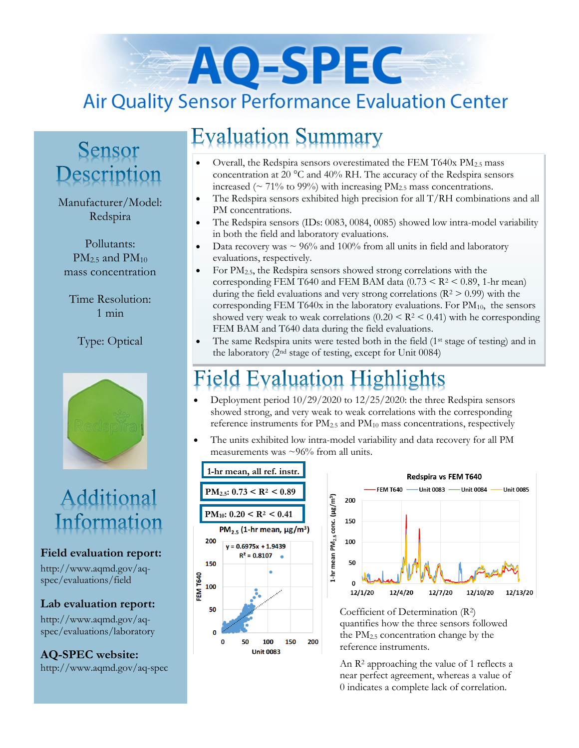# AO-SPEC **Air Quality Sensor Performance Evaluation Center**

### Sensor Description

#### Manufacturer/Model: Redspira

Pollutants:  $PM<sub>2.5</sub>$  and  $PM<sub>10</sub>$ mass concentration

Time Resolution: 1 min

Type: Optical



### Additional Information

#### **Field evaluation report:**

http://www.aqmd.gov/aqspec/evaluations/field

**Lab evaluation report:**

http://www.aqmd.gov/aqspec/evaluations/laboratory

**AQ-SPEC website:**  http://www.aqmd.gov/aq-spec

## **Evaluation Summary**

- Overall, the Redspira sensors overestimated the FEM T640x PM2.5 mass concentration at 20 °C and 40% RH. The accuracy of the Redspira sensors increased ( $\sim$  71% to 99%) with increasing PM<sub>2.5</sub> mass concentrations.
- The Redspira sensors exhibited high precision for all T/RH combinations and all PM concentrations.
- The Redspira sensors (IDs: 0083, 0084, 0085) showed low intra-model variability in both the field and laboratory evaluations.
- Data recovery was  $\sim$  96% and 100% from all units in field and laboratory evaluations, respectively.
- For  $PM_{2.5}$ , the Redspira sensors showed strong correlations with the corresponding FEM T640 and FEM BAM data  $(0.73 \leq R^2 \leq 0.89, 1\text{-hr mean})$ during the field evaluations and very strong correlations ( $R^2 > 0.99$ ) with the corresponding FEM T640x in the laboratory evaluations. For  $PM_{10}$ , the sensors showed very weak to weak correlations  $(0.20 \leq R^2 \leq 0.41)$  with he corresponding FEM BAM and T640 data during the field evaluations.
- The same Redspira units were tested both in the field  $(1^{st}$  stage of testing) and in the laboratory (2nd stage of testing, except for Unit 0084)

### ield Evaluation Highlights

- Deployment period 10/29/2020 to 12/25/2020: the three Redspira sensors showed strong, and very weak to weak correlations with the corresponding reference instruments for  $PM_{2.5}$  and  $PM_{10}$  mass concentrations, respectively
- The units exhibited low intra-model variability and data recovery for all PM measurements was  $\sim 96\%$  from all units.





Coefficient of Determination (R2) quantifies how the three sensors followed the  $PM<sub>2.5</sub>$  concentration change by the reference instruments.

An R<sup>2</sup> approaching the value of 1 reflects a near perfect agreement, whereas a value of 0 indicates a complete lack of correlation.